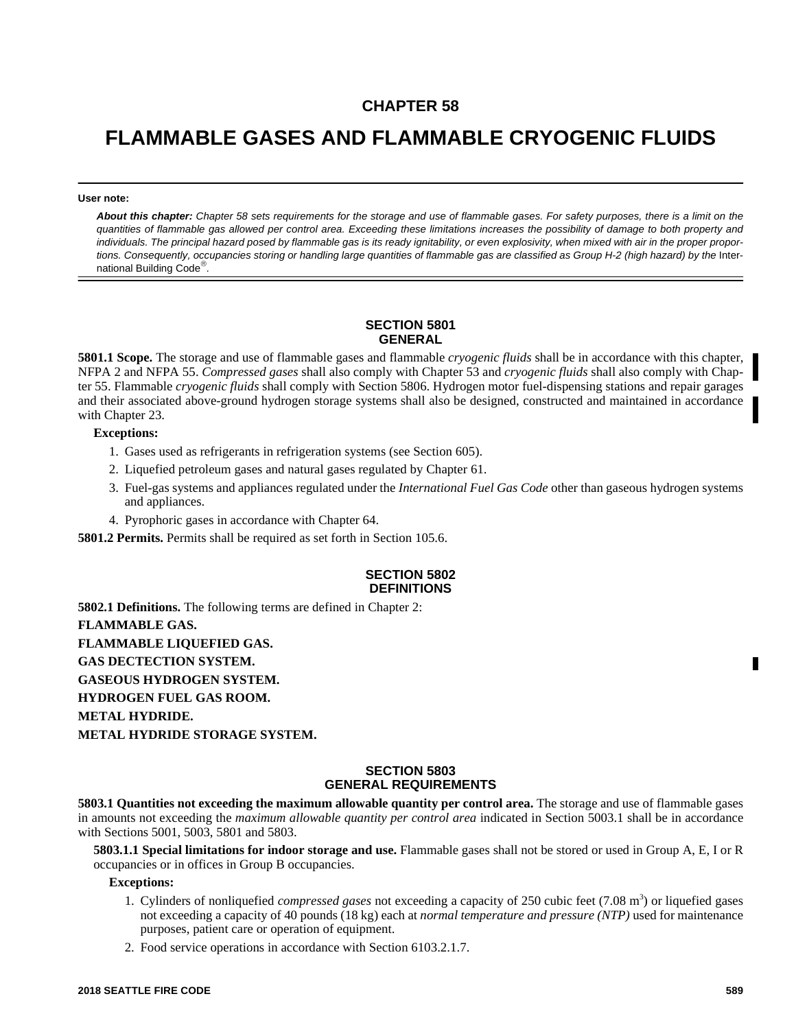## **CHAPTER 58**

# **FLAMMABLE GASES AND FLAMMABLE CRYOGENIC FLUIDS**

**User note:**

*About this chapter: Chapter 58 sets requirements for the storage and use of flammable gases. For safety purposes, there is a limit on the quantities of flammable gas allowed per control area. Exceeding these limitations increases the possibility of damage to both property and individuals. The principal hazard posed by flammable gas is its ready ignitability, or even explosivity, when mixed with air in the proper propor*tions. Consequently, occupancies storing or handling large quantities of flammable gas are classified as Group H-2 (high hazard) by the International Building Code *.*

#### **SECTION 5801 GENERAL**

**5801.1 Scope.** The storage and use of flammable gases and flammable *cryogenic fluids* shall be in accordance with this chapter, NFPA 2 and NFPA 55. *Compressed gases* shall also comply with Chapter 53 and *cryogenic fluids* shall also comply with Chapter 55. Flammable *cryogenic fluids* shall comply with Section 5806. Hydrogen motor fuel-dispensing stations and repair garages and their associated above-ground hydrogen storage systems shall also be designed, constructed and maintained in accordance with Chapter 23.

#### **Exceptions:**

- 1. Gases used as refrigerants in refrigeration systems (see Section 605).
- 2. Liquefied petroleum gases and natural gases regulated by Chapter 61.
- 3. Fuel-gas systems and appliances regulated under the *International Fuel Gas Code* other than gaseous hydrogen systems and appliances.
- 4. Pyrophoric gases in accordance with Chapter 64.

**5801.2 Permits.** Permits shall be required as set forth in Section 105.6.

### **SECTION 5802 DEFINITIONS**

**5802.1 Definitions.** The following terms are defined in Chapter 2: **FLAMMABLE GAS. FLAMMABLE LIQUEFIED GAS. GAS DECTECTION SYSTEM. GASEOUS HYDROGEN SYSTEM. HYDROGEN FUEL GAS ROOM. METAL HYDRIDE. METAL HYDRIDE STORAGE SYSTEM.**

#### **SECTION 5803 GENERAL REQUIREMENTS**

**5803.1 Quantities not exceeding the maximum allowable quantity per control area.** The storage and use of flammable gases in amounts not exceeding the *maximum allowable quantity per control area* indicated in Section 5003.1 shall be in accordance with Sections 5001, 5003, 5801 and 5803.

**5803.1.1 Special limitations for indoor storage and use.** Flammable gases shall not be stored or used in Group A, E, I or R occupancies or in offices in Group B occupancies.

**Exceptions:**

- 1. Cylinders of nonliquefied *compressed gases* not exceeding a capacity of 250 cubic feet (7.08 m<sup>3</sup>) or liquefied gases not exceeding a capacity of 40 pounds (18 kg) each at *normal temperature and pressure (NTP)* used for maintenance purposes, patient care or operation of equipment.
- 2. Food service operations in accordance with Section 6103.2.1.7.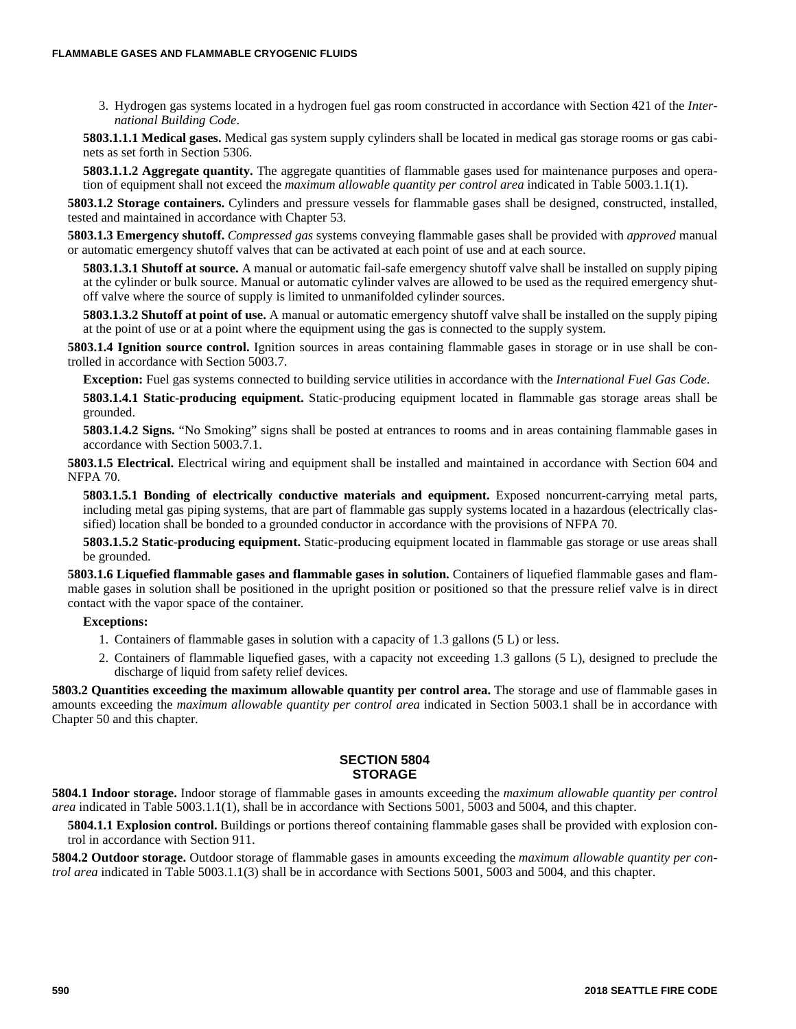3. Hydrogen gas systems located in a hydrogen fuel gas room constructed in accordance with Section 421 of the *International Building Code*.

**5803.1.1.1 Medical gases.** Medical gas system supply cylinders shall be located in medical gas storage rooms or gas cabinets as set forth in Section 5306.

**5803.1.1.2 Aggregate quantity.** The aggregate quantities of flammable gases used for maintenance purposes and operation of equipment shall not exceed the *maximum allowable quantity per control area* indicated in Table 5003.1.1(1).

**5803.1.2 Storage containers.** Cylinders and pressure vessels for flammable gases shall be designed, constructed, installed, tested and maintained in accordance with Chapter 53.

**5803.1.3 Emergency shutoff.** *Compressed gas* systems conveying flammable gases shall be provided with *approved* manual or automatic emergency shutoff valves that can be activated at each point of use and at each source.

**5803.1.3.1 Shutoff at source.** A manual or automatic fail-safe emergency shutoff valve shall be installed on supply piping at the cylinder or bulk source. Manual or automatic cylinder valves are allowed to be used as the required emergency shutoff valve where the source of supply is limited to unmanifolded cylinder sources.

**5803.1.3.2 Shutoff at point of use.** A manual or automatic emergency shutoff valve shall be installed on the supply piping at the point of use or at a point where the equipment using the gas is connected to the supply system.

**5803.1.4 Ignition source control.** Ignition sources in areas containing flammable gases in storage or in use shall be controlled in accordance with Section 5003.7.

**Exception:** Fuel gas systems connected to building service utilities in accordance with the *International Fuel Gas Code*.

**5803.1.4.1 Static-producing equipment.** Static-producing equipment located in flammable gas storage areas shall be grounded.

**5803.1.4.2 Signs.** "No Smoking" signs shall be posted at entrances to rooms and in areas containing flammable gases in accordance with Section 5003.7.1.

**5803.1.5 Electrical.** Electrical wiring and equipment shall be installed and maintained in accordance with Section 604 and NFPA 70.

**5803.1.5.1 Bonding of electrically conductive materials and equipment.** Exposed noncurrent-carrying metal parts, including metal gas piping systems, that are part of flammable gas supply systems located in a hazardous (electrically classified) location shall be bonded to a grounded conductor in accordance with the provisions of NFPA 70.

**5803.1.5.2 Static-producing equipment.** Static-producing equipment located in flammable gas storage or use areas shall be grounded.

**5803.1.6 Liquefied flammable gases and flammable gases in solution.** Containers of liquefied flammable gases and flammable gases in solution shall be positioned in the upright position or positioned so that the pressure relief valve is in direct contact with the vapor space of the container.

#### **Exceptions:**

- 1. Containers of flammable gases in solution with a capacity of 1.3 gallons (5 L) or less.
- 2. Containers of flammable liquefied gases, with a capacity not exceeding 1.3 gallons (5 L), designed to preclude the discharge of liquid from safety relief devices.

**5803.2 Quantities exceeding the maximum allowable quantity per control area.** The storage and use of flammable gases in amounts exceeding the *maximum allowable quantity per control area* indicated in Section 5003.1 shall be in accordance with Chapter 50 and this chapter.

#### **SECTION 5804 STORAGE**

**5804.1 Indoor storage.** Indoor storage of flammable gases in amounts exceeding the *maximum allowable quantity per control area* indicated in Table 5003.1.1(1), shall be in accordance with Sections 5001, 5003 and 5004, and this chapter.

**5804.1.1 Explosion control.** Buildings or portions thereof containing flammable gases shall be provided with explosion control in accordance with Section 911.

**5804.2 Outdoor storage.** Outdoor storage of flammable gases in amounts exceeding the *maximum allowable quantity per control area* indicated in Table 5003.1.1(3) shall be in accordance with Sections 5001, 5003 and 5004, and this chapter.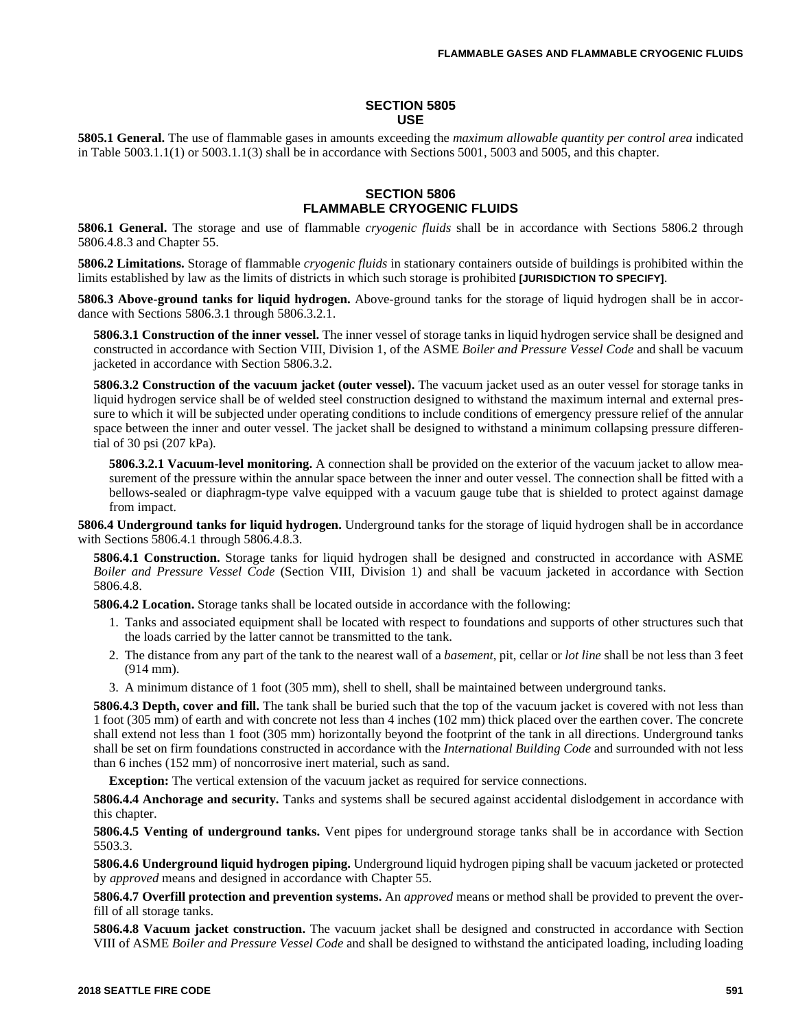#### **SECTION 5805 USE**

**5805.1 General.** The use of flammable gases in amounts exceeding the *maximum allowable quantity per control area* indicated in Table 5003.1.1(1) or 5003.1.1(3) shall be in accordance with Sections 5001, 5003 and 5005, and this chapter.

#### **SECTION 5806 FLAMMABLE CRYOGENIC FLUIDS**

**5806.1 General.** The storage and use of flammable *cryogenic fluids* shall be in accordance with Sections 5806.2 through 5806.4.8.3 and Chapter 55.

**5806.2 Limitations.** Storage of flammable *cryogenic fluids* in stationary containers outside of buildings is prohibited within the limits established by law as the limits of districts in which such storage is prohibited **[JURISDICTION TO SPECIFY]**.

**5806.3 Above-ground tanks for liquid hydrogen.** Above-ground tanks for the storage of liquid hydrogen shall be in accordance with Sections 5806.3.1 through 5806.3.2.1.

**5806.3.1 Construction of the inner vessel.** The inner vessel of storage tanks in liquid hydrogen service shall be designed and constructed in accordance with Section VIII, Division 1, of the ASME *Boiler and Pressure Vessel Code* and shall be vacuum jacketed in accordance with Section 5806.3.2.

**5806.3.2 Construction of the vacuum jacket (outer vessel).** The vacuum jacket used as an outer vessel for storage tanks in liquid hydrogen service shall be of welded steel construction designed to withstand the maximum internal and external pressure to which it will be subjected under operating conditions to include conditions of emergency pressure relief of the annular space between the inner and outer vessel. The jacket shall be designed to withstand a minimum collapsing pressure differential of 30 psi (207 kPa).

**5806.3.2.1 Vacuum-level monitoring.** A connection shall be provided on the exterior of the vacuum jacket to allow measurement of the pressure within the annular space between the inner and outer vessel. The connection shall be fitted with a bellows-sealed or diaphragm-type valve equipped with a vacuum gauge tube that is shielded to protect against damage from impact.

**5806.4 Underground tanks for liquid hydrogen.** Underground tanks for the storage of liquid hydrogen shall be in accordance with Sections 5806.4.1 through 5806.4.8.3.

**5806.4.1 Construction.** Storage tanks for liquid hydrogen shall be designed and constructed in accordance with ASME *Boiler and Pressure Vessel Code* (Section VIII, Division 1) and shall be vacuum jacketed in accordance with Section 5806.4.8.

**5806.4.2 Location.** Storage tanks shall be located outside in accordance with the following:

- 1. Tanks and associated equipment shall be located with respect to foundations and supports of other structures such that the loads carried by the latter cannot be transmitted to the tank.
- 2. The distance from any part of the tank to the nearest wall of a *basement*, pit, cellar or *lot line* shall be not less than 3 feet (914 mm).
- 3. A minimum distance of 1 foot (305 mm), shell to shell, shall be maintained between underground tanks.

**5806.4.3 Depth, cover and fill.** The tank shall be buried such that the top of the vacuum jacket is covered with not less than 1 foot (305 mm) of earth and with concrete not less than 4 inches (102 mm) thick placed over the earthen cover. The concrete shall extend not less than 1 foot (305 mm) horizontally beyond the footprint of the tank in all directions. Underground tanks shall be set on firm foundations constructed in accordance with the *International Building Code* and surrounded with not less than 6 inches (152 mm) of noncorrosive inert material, such as sand.

**Exception:** The vertical extension of the vacuum jacket as required for service connections.

**5806.4.4 Anchorage and security.** Tanks and systems shall be secured against accidental dislodgement in accordance with this chapter.

**5806.4.5 Venting of underground tanks.** Vent pipes for underground storage tanks shall be in accordance with Section 5503.3.

**5806.4.6 Underground liquid hydrogen piping.** Underground liquid hydrogen piping shall be vacuum jacketed or protected by *approved* means and designed in accordance with Chapter 55.

**5806.4.7 Overfill protection and prevention systems.** An *approved* means or method shall be provided to prevent the overfill of all storage tanks.

**5806.4.8 Vacuum jacket construction.** The vacuum jacket shall be designed and constructed in accordance with Section VIII of ASME *Boiler and Pressure Vessel Code* and shall be designed to withstand the anticipated loading, including loading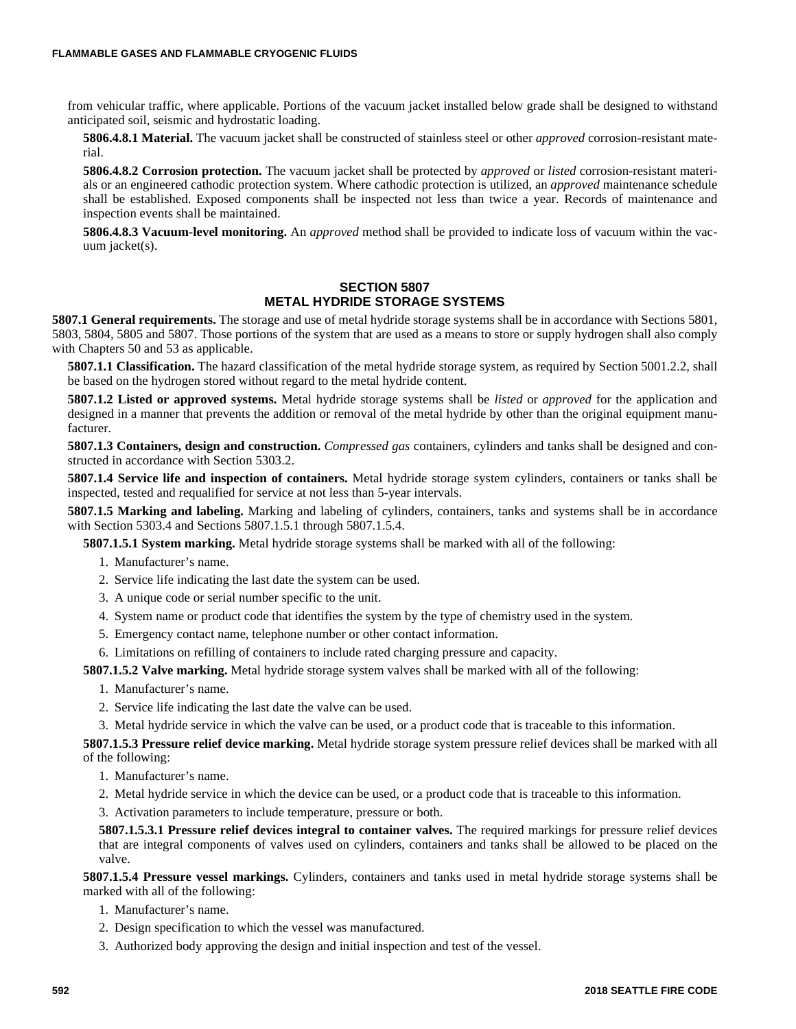from vehicular traffic, where applicable. Portions of the vacuum jacket installed below grade shall be designed to withstand anticipated soil, seismic and hydrostatic loading.

**5806.4.8.1 Material.** The vacuum jacket shall be constructed of stainless steel or other *approved* corrosion-resistant material.

**5806.4.8.2 Corrosion protection.** The vacuum jacket shall be protected by *approved* or *listed* corrosion-resistant materials or an engineered cathodic protection system. Where cathodic protection is utilized, an *approved* maintenance schedule shall be established. Exposed components shall be inspected not less than twice a year. Records of maintenance and inspection events shall be maintained.

**5806.4.8.3 Vacuum-level monitoring.** An *approved* method shall be provided to indicate loss of vacuum within the vacuum jacket(s).

#### **SECTION 5807 METAL HYDRIDE STORAGE SYSTEMS**

**5807.1 General requirements.** The storage and use of metal hydride storage systems shall be in accordance with Sections 5801, 5803, 5804, 5805 and 5807. Those portions of the system that are used as a means to store or supply hydrogen shall also comply with Chapters 50 and 53 as applicable.

**5807.1.1 Classification.** The hazard classification of the metal hydride storage system, as required by Section 5001.2.2, shall be based on the hydrogen stored without regard to the metal hydride content.

**5807.1.2 Listed or approved systems.** Metal hydride storage systems shall be *listed* or *approved* for the application and designed in a manner that prevents the addition or removal of the metal hydride by other than the original equipment manufacturer.

**5807.1.3 Containers, design and construction.** *Compressed gas* containers, cylinders and tanks shall be designed and constructed in accordance with Section 5303.2.

**5807.1.4 Service life and inspection of containers.** Metal hydride storage system cylinders, containers or tanks shall be inspected, tested and requalified for service at not less than 5-year intervals.

**5807.1.5 Marking and labeling.** Marking and labeling of cylinders, containers, tanks and systems shall be in accordance with Section 5303.4 and Sections 5807.1.5.1 through 5807.1.5.4.

**5807.1.5.1 System marking.** Metal hydride storage systems shall be marked with all of the following:

- 1. Manufacturer's name.
- 2. Service life indicating the last date the system can be used.
- 3. A unique code or serial number specific to the unit.
- 4. System name or product code that identifies the system by the type of chemistry used in the system.
- 5. Emergency contact name, telephone number or other contact information.
- 6. Limitations on refilling of containers to include rated charging pressure and capacity.

**5807.1.5.2 Valve marking.** Metal hydride storage system valves shall be marked with all of the following:

- 1. Manufacturer's name.
- 2. Service life indicating the last date the valve can be used.
- 3. Metal hydride service in which the valve can be used, or a product code that is traceable to this information.

**5807.1.5.3 Pressure relief device marking.** Metal hydride storage system pressure relief devices shall be marked with all of the following:

- 1. Manufacturer's name.
- 2. Metal hydride service in which the device can be used, or a product code that is traceable to this information.

3. Activation parameters to include temperature, pressure or both.

**5807.1.5.3.1 Pressure relief devices integral to container valves.** The required markings for pressure relief devices that are integral components of valves used on cylinders, containers and tanks shall be allowed to be placed on the valve.

**5807.1.5.4 Pressure vessel markings.** Cylinders, containers and tanks used in metal hydride storage systems shall be marked with all of the following:

- 1. Manufacturer's name.
- 2. Design specification to which the vessel was manufactured.
- 3. Authorized body approving the design and initial inspection and test of the vessel.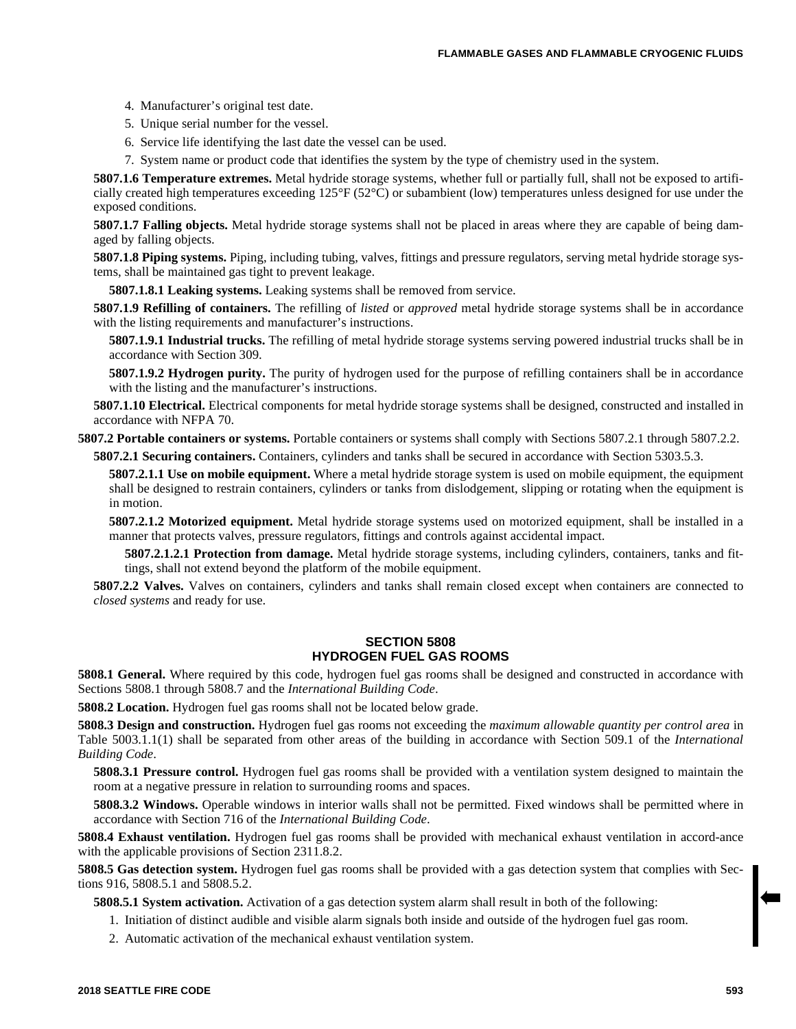- 4. Manufacturer's original test date.
- 5. Unique serial number for the vessel.
- 6. Service life identifying the last date the vessel can be used.
- 7. System name or product code that identifies the system by the type of chemistry used in the system.

**5807.1.6 Temperature extremes.** Metal hydride storage systems, whether full or partially full, shall not be exposed to artificially created high temperatures exceeding 125°F (52°C) or subambient (low) temperatures unless designed for use under the exposed conditions.

**5807.1.7 Falling objects.** Metal hydride storage systems shall not be placed in areas where they are capable of being damaged by falling objects.

**5807.1.8 Piping systems.** Piping, including tubing, valves, fittings and pressure regulators, serving metal hydride storage systems, shall be maintained gas tight to prevent leakage.

**5807.1.8.1 Leaking systems.** Leaking systems shall be removed from service.

**5807.1.9 Refilling of containers.** The refilling of *listed* or *approved* metal hydride storage systems shall be in accordance with the listing requirements and manufacturer's instructions.

**5807.1.9.1 Industrial trucks.** The refilling of metal hydride storage systems serving powered industrial trucks shall be in accordance with Section 309.

**5807.1.9.2 Hydrogen purity.** The purity of hydrogen used for the purpose of refilling containers shall be in accordance with the listing and the manufacturer's instructions.

**5807.1.10 Electrical.** Electrical components for metal hydride storage systems shall be designed, constructed and installed in accordance with NFPA 70.

**5807.2 Portable containers or systems.** Portable containers or systems shall comply with Sections 5807.2.1 through 5807.2.2.

**5807.2.1 Securing containers.** Containers, cylinders and tanks shall be secured in accordance with Section 5303.5.3.

**5807.2.1.1 Use on mobile equipment.** Where a metal hydride storage system is used on mobile equipment, the equipment shall be designed to restrain containers, cylinders or tanks from dislodgement, slipping or rotating when the equipment is in motion.

**5807.2.1.2 Motorized equipment.** Metal hydride storage systems used on motorized equipment, shall be installed in a manner that protects valves, pressure regulators, fittings and controls against accidental impact.

**5807.2.1.2.1 Protection from damage.** Metal hydride storage systems, including cylinders, containers, tanks and fittings, shall not extend beyond the platform of the mobile equipment.

**5807.2.2 Valves.** Valves on containers, cylinders and tanks shall remain closed except when containers are connected to *closed systems* and ready for use.

#### **SECTION 5808 HYDROGEN FUEL GAS ROOMS**

**5808.1 General.** Where required by this code, hydrogen fuel gas rooms shall be designed and constructed in accordance with Sections 5808.1 through 5808.7 and the *International Building Code*.

**5808.2 Location.** Hydrogen fuel gas rooms shall not be located below grade.

**5808.3 Design and construction.** Hydrogen fuel gas rooms not exceeding the *maximum allowable quantity per control area* in Table 5003.1.1(1) shall be separated from other areas of the building in accordance with Section 509.1 of the *International Building Code*.

**5808.3.1 Pressure control.** Hydrogen fuel gas rooms shall be provided with a ventilation system designed to maintain the room at a negative pressure in relation to surrounding rooms and spaces.

**5808.3.2 Windows.** Operable windows in interior walls shall not be permitted. Fixed windows shall be permitted where in accordance with Section 716 of the *International Building Code*.

**5808.4 Exhaust ventilation.** Hydrogen fuel gas rooms shall be provided with mechanical exhaust ventilation in accord-ance with the applicable provisions of Section 2311.8.2.

**5808.5 Gas detection system.** Hydrogen fuel gas rooms shall be provided with a gas detection system that complies with Sections 916, 5808.5.1 and 5808.5.2.

**5808.5.1 System activation.** Activation of a gas detection system alarm shall result in both of the following:

- 1. Initiation of distinct audible and visible alarm signals both inside and outside of the hydrogen fuel gas room.
- 2. Automatic activation of the mechanical exhaust ventilation system.